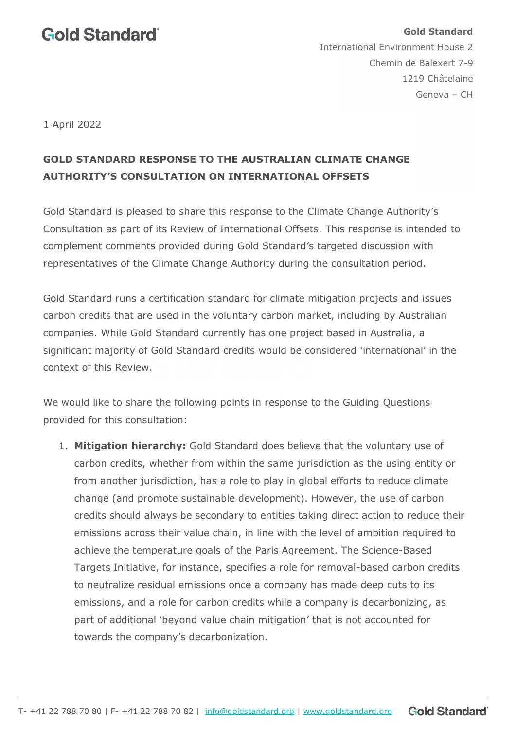## **Gold Standard**

**Gold Standard**  International Environment House 2 Chemin de Balexert 7-9 1219 Châtelaine Geneva – CH

1 April 2022

## **GOLD STANDARD RESPONSE TO THE AUSTRALIAN CLIMATE CHANGE AUTHORITY'S CONSULTATION ON INTERNATIONAL OFFSETS**

Gold Standard is pleased to share this response to the Climate Change Authority's Consultation as part of its Review of International Offsets. This response is intended to complement comments provided during Gold Standard's targeted discussion with representatives of the Climate Change Authority during the consultation period.

Gold Standard runs a certification standard for climate mitigation projects and issues carbon credits that are used in the voluntary carbon market, including by Australian companies. While Gold Standard currently has one project based in Australia, a significant majority of Gold Standard credits would be considered 'international' in the context of this Review.

We would like to share the following points in response to the Guiding Questions provided for this consultation:

1. **Mitigation hierarchy:** Gold Standard does believe that the voluntary use of carbon credits, whether from within the same jurisdiction as the using entity or from another jurisdiction, has a role to play in global efforts to reduce climate change (and promote sustainable development). However, the use of carbon credits should always be secondary to entities taking direct action to reduce their emissions across their value chain, in line with the level of ambition required to achieve the temperature goals of the Paris Agreement. The Science-Based Targets Initiative, for instance, specifies a role for removal-based carbon credits to neutralize residual emissions once a company has made deep cuts to its emissions, and a role for carbon credits while a company is decarbonizing, as part of additional 'beyond value chain mitigation' that is not accounted for towards the company's decarbonization.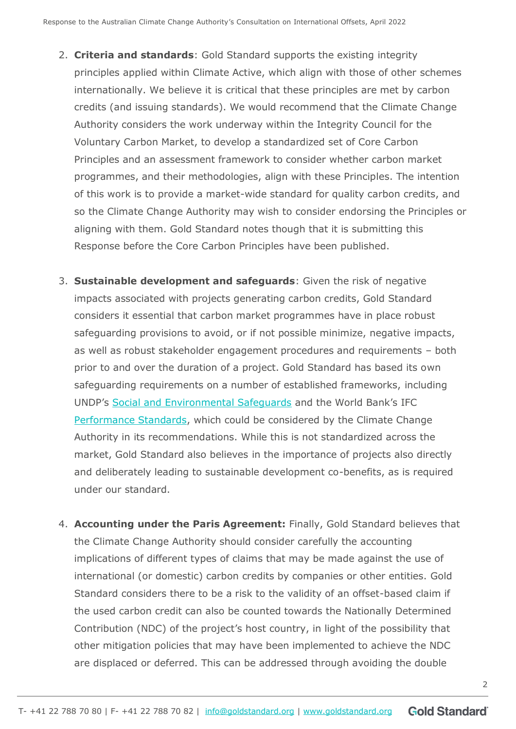- 2. **Criteria and standards**: Gold Standard supports the existing integrity principles applied within Climate Active, which align with those of other schemes internationally. We believe it is critical that these principles are met by carbon credits (and issuing standards). We would recommend that the Climate Change Authority considers the work underway within the Integrity Council for the Voluntary Carbon Market, to develop a standardized set of Core Carbon Principles and an assessment framework to consider whether carbon market programmes, and their methodologies, align with these Principles. The intention of this work is to provide a market-wide standard for quality carbon credits, and so the Climate Change Authority may wish to consider endorsing the Principles or aligning with them. Gold Standard notes though that it is submitting this Response before the Core Carbon Principles have been published.
- 3. **Sustainable development and safeguards**: Given the risk of negative impacts associated with projects generating carbon credits, Gold Standard considers it essential that carbon market programmes have in place robust safeguarding provisions to avoid, or if not possible minimize, negative impacts, as well as robust stakeholder engagement procedures and requirements – both prior to and over the duration of a project. Gold Standard has based its own safeguarding requirements on a number of established frameworks, including UNDP's [Social and Environmental Safeguards](https://www.undp.org/accountability/social-and-environmental-responsibility/social-and-environmental-standards) and the World Bank's IFC [Performance Standards,](https://www.ifc.org/wps/wcm/connect/Topics_Ext_Content/IFC_External_Corporate_Site/Sustainability-At-IFC/Policies-Standards/Performance-Standards) which could be considered by the Climate Change Authority in its recommendations. While this is not standardized across the market, Gold Standard also believes in the importance of projects also directly and deliberately leading to sustainable development co-benefits, as is required under our standard.
- 4. **Accounting under the Paris Agreement:** Finally, Gold Standard believes that the Climate Change Authority should consider carefully the accounting implications of different types of claims that may be made against the use of international (or domestic) carbon credits by companies or other entities. Gold Standard considers there to be a risk to the validity of an offset-based claim if the used carbon credit can also be counted towards the Nationally Determined Contribution (NDC) of the project's host country, in light of the possibility that other mitigation policies that may have been implemented to achieve the NDC are displaced or deferred. This can be addressed through avoiding the double